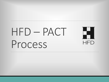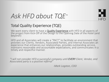

## *Ask HFD about TQE*™

### Total Quality Experience (TQE)

We want every client to have a **Quality Experience** with HFD in all aspects of the project from Kick-Off of the Design to the Opening Date of the Hotel (and beyond!)

HFD and all Associates will create a "PACT" to facilitate an environment that provides our Clients, Vendors, Associated Parties, and Internal Associates an experience that enhances our relationships, provides outstanding service, maintains reasonable and accountable expectations, and communicates in a timely and respectful manner.

*"I will not consider HFD a successful company until EVERY Client, Vendor, and Associated party is a positive referral"*

*-Mark Logston, COO*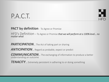### P.A.C.T.

#### **PACT by definition** - To Agree or Promise

HFD's Definition – To Agree or Promise *that we will perform at a 100% level… no matter what*

**PARTICIPATION**... The Act of taking part or sharing

*ANTICIPATION*… Regard as probable, expect or predict

*COMMUNICATION*… The exchanging of information to produce a better understanding an outcome

*TENACITY*… Extremely persistent in adhering to or doing something